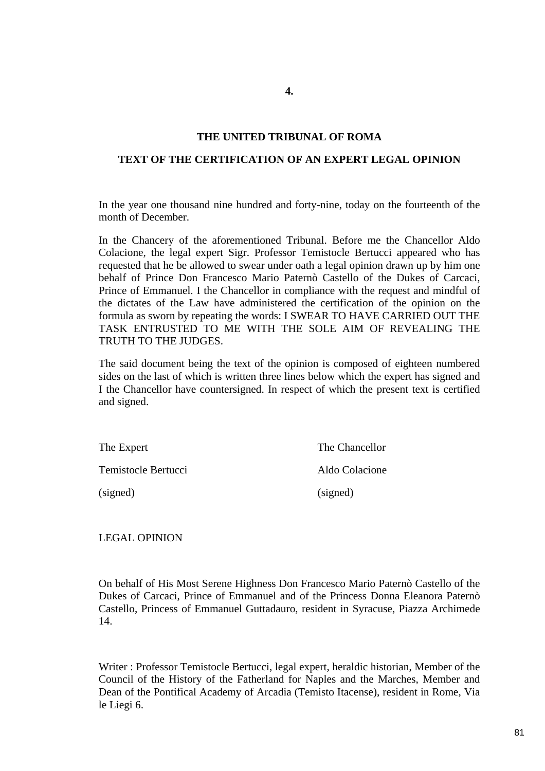# **4.**

#### **THE UNITED TRIBUNAL OF ROMA**

#### **TEXT OF THE CERTIFICATION OF AN EXPERT LEGAL OPINION**

In the year one thousand nine hundred and forty-nine, today on the fourteenth of the month of December.

In the Chancery of the aforementioned Tribunal. Before me the Chancellor Aldo Colacione, the legal expert Sigr. Professor Temistocle Bertucci appeared who has requested that he be allowed to swear under oath a legal opinion drawn up by him one behalf of Prince Don Francesco Mario Paternò Castello of the Dukes of Carcaci, Prince of Emmanuel. I the Chancellor in compliance with the request and mindful of the dictates of the Law have administered the certification of the opinion on the formula as sworn by repeating the words: I SWEAR TO HAVE CARRIED OUT THE TASK ENTRUSTED TO ME WITH THE SOLE AIM OF REVEALING THE TRUTH TO THE JUDGES.

The said document being the text of the opinion is composed of eighteen numbered sides on the last of which is written three lines below which the expert has signed and I the Chancellor have countersigned. In respect of which the present text is certified and signed.

| The Expert          | The Chancellor |
|---------------------|----------------|
| Temistocle Bertucci | Aldo Colacione |
| (signed)            | (signed)       |

## LEGAL OPINION

On behalf of His Most Serene Highness Don Francesco Mario Paternò Castello of the Dukes of Carcaci, Prince of Emmanuel and of the Princess Donna Eleanora Paternò Castello, Princess of Emmanuel Guttadauro, resident in Syracuse, Piazza Archimede 14.

Writer : Professor Temistocle Bertucci, legal expert, heraldic historian, Member of the Council of the History of the Fatherland for Naples and the Marches, Member and Dean of the Pontifical Academy of Arcadia (Temisto Itacense), resident in Rome, Via le Liegi 6.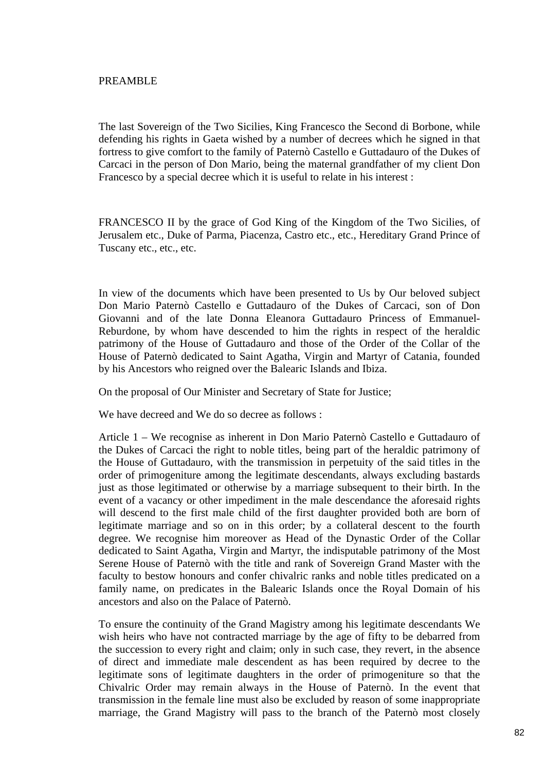## PREAMBLE

The last Sovereign of the Two Sicilies, King Francesco the Second di Borbone, while defending his rights in Gaeta wished by a number of decrees which he signed in that fortress to give comfort to the family of Paternò Castello e Guttadauro of the Dukes of Carcaci in the person of Don Mario, being the maternal grandfather of my client Don Francesco by a special decree which it is useful to relate in his interest :

FRANCESCO II by the grace of God King of the Kingdom of the Two Sicilies, of Jerusalem etc., Duke of Parma, Piacenza, Castro etc., etc., Hereditary Grand Prince of Tuscany etc., etc., etc.

In view of the documents which have been presented to Us by Our beloved subject Don Mario Paternò Castello e Guttadauro of the Dukes of Carcaci, son of Don Giovanni and of the late Donna Eleanora Guttadauro Princess of Emmanuel-Reburdone, by whom have descended to him the rights in respect of the heraldic patrimony of the House of Guttadauro and those of the Order of the Collar of the House of Paternò dedicated to Saint Agatha, Virgin and Martyr of Catania, founded by his Ancestors who reigned over the Balearic Islands and Ibiza.

On the proposal of Our Minister and Secretary of State for Justice;

We have decreed and We do so decree as follows :

Article 1 – We recognise as inherent in Don Mario Paternò Castello e Guttadauro of the Dukes of Carcaci the right to noble titles, being part of the heraldic patrimony of the House of Guttadauro, with the transmission in perpetuity of the said titles in the order of primogeniture among the legitimate descendants, always excluding bastards just as those legitimated or otherwise by a marriage subsequent to their birth. In the event of a vacancy or other impediment in the male descendance the aforesaid rights will descend to the first male child of the first daughter provided both are born of legitimate marriage and so on in this order; by a collateral descent to the fourth degree. We recognise him moreover as Head of the Dynastic Order of the Collar dedicated to Saint Agatha, Virgin and Martyr, the indisputable patrimony of the Most Serene House of Paternò with the title and rank of Sovereign Grand Master with the faculty to bestow honours and confer chivalric ranks and noble titles predicated on a family name, on predicates in the Balearic Islands once the Royal Domain of his ancestors and also on the Palace of Paternò.

To ensure the continuity of the Grand Magistry among his legitimate descendants We wish heirs who have not contracted marriage by the age of fifty to be debarred from the succession to every right and claim; only in such case, they revert, in the absence of direct and immediate male descendent as has been required by decree to the legitimate sons of legitimate daughters in the order of primogeniture so that the Chivalric Order may remain always in the House of Paternò. In the event that transmission in the female line must also be excluded by reason of some inappropriate marriage, the Grand Magistry will pass to the branch of the Paternò most closely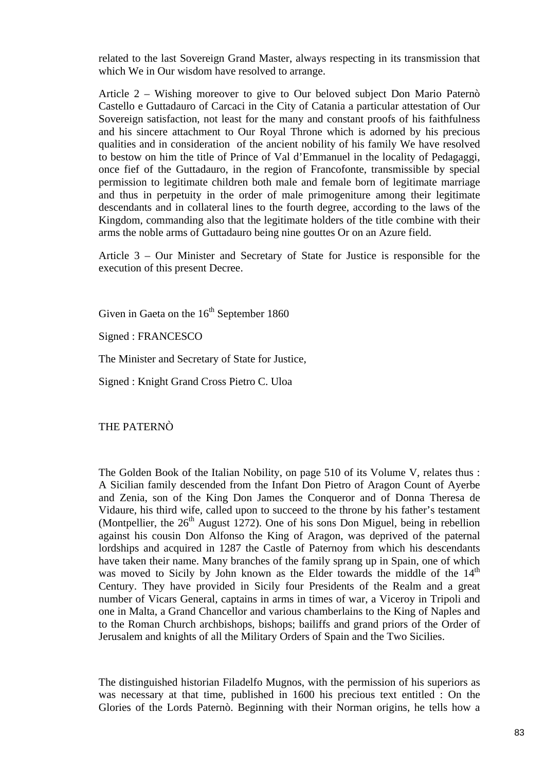related to the last Sovereign Grand Master, always respecting in its transmission that which We in Our wisdom have resolved to arrange.

Article 2 – Wishing moreover to give to Our beloved subject Don Mario Paternò Castello e Guttadauro of Carcaci in the City of Catania a particular attestation of Our Sovereign satisfaction, not least for the many and constant proofs of his faithfulness and his sincere attachment to Our Royal Throne which is adorned by his precious qualities and in consideration of the ancient nobility of his family We have resolved to bestow on him the title of Prince of Val d'Emmanuel in the locality of Pedagaggi, once fief of the Guttadauro, in the region of Francofonte, transmissible by special permission to legitimate children both male and female born of legitimate marriage and thus in perpetuity in the order of male primogeniture among their legitimate descendants and in collateral lines to the fourth degree, according to the laws of the Kingdom, commanding also that the legitimate holders of the title combine with their arms the noble arms of Guttadauro being nine gouttes Or on an Azure field.

Article 3 – Our Minister and Secretary of State for Justice is responsible for the execution of this present Decree.

Given in Gaeta on the  $16<sup>th</sup>$  September 1860

Signed : FRANCESCO

The Minister and Secretary of State for Justice,

Signed : Knight Grand Cross Pietro C. Uloa

THE PATERNÒ

The Golden Book of the Italian Nobility, on page 510 of its Volume V, relates thus : A Sicilian family descended from the Infant Don Pietro of Aragon Count of Ayerbe and Zenia, son of the King Don James the Conqueror and of Donna Theresa de Vidaure, his third wife, called upon to succeed to the throne by his father's testament (Montpellier, the  $26<sup>th</sup>$  August 1272). One of his sons Don Miguel, being in rebellion against his cousin Don Alfonso the King of Aragon, was deprived of the paternal lordships and acquired in 1287 the Castle of Paternoy from which his descendants have taken their name. Many branches of the family sprang up in Spain, one of which was moved to Sicily by John known as the Elder towards the middle of the  $14<sup>th</sup>$ Century. They have provided in Sicily four Presidents of the Realm and a great number of Vicars General, captains in arms in times of war, a Viceroy in Tripoli and one in Malta, a Grand Chancellor and various chamberlains to the King of Naples and to the Roman Church archbishops, bishops; bailiffs and grand priors of the Order of Jerusalem and knights of all the Military Orders of Spain and the Two Sicilies.

The distinguished historian Filadelfo Mugnos, with the permission of his superiors as was necessary at that time, published in 1600 his precious text entitled : On the Glories of the Lords Paternò. Beginning with their Norman origins, he tells how a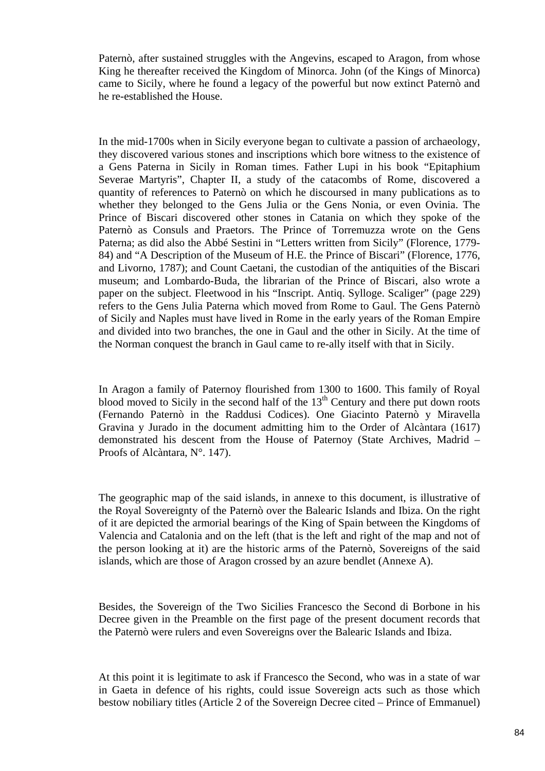Paternò, after sustained struggles with the Angevins, escaped to Aragon, from whose King he thereafter received the Kingdom of Minorca. John (of the Kings of Minorca) came to Sicily, where he found a legacy of the powerful but now extinct Paternò and he re-established the House.

In the mid-1700s when in Sicily everyone began to cultivate a passion of archaeology, they discovered various stones and inscriptions which bore witness to the existence of a Gens Paterna in Sicily in Roman times. Father Lupi in his book "Epitaphium Severae Martyris", Chapter II, a study of the catacombs of Rome, discovered a quantity of references to Paternò on which he discoursed in many publications as to whether they belonged to the Gens Julia or the Gens Nonia, or even Ovinia. The Prince of Biscari discovered other stones in Catania on which they spoke of the Paternò as Consuls and Praetors. The Prince of Torremuzza wrote on the Gens Paterna; as did also the Abbé Sestini in "Letters written from Sicily" (Florence, 1779- 84) and "A Description of the Museum of H.E. the Prince of Biscari" (Florence, 1776, and Livorno, 1787); and Count Caetani, the custodian of the antiquities of the Biscari museum; and Lombardo-Buda, the librarian of the Prince of Biscari, also wrote a paper on the subject. Fleetwood in his "Inscript. Antiq. Sylloge. Scaliger" (page 229) refers to the Gens Julia Paterna which moved from Rome to Gaul. The Gens Paternò of Sicily and Naples must have lived in Rome in the early years of the Roman Empire and divided into two branches, the one in Gaul and the other in Sicily. At the time of the Norman conquest the branch in Gaul came to re-ally itself with that in Sicily.

In Aragon a family of Paternoy flourished from 1300 to 1600. This family of Royal blood moved to Sicily in the second half of the  $13<sup>th</sup>$  Century and there put down roots (Fernando Paternò in the Raddusi Codices). One Giacinto Paternò y Miravella Gravina y Jurado in the document admitting him to the Order of Alcàntara (1617) demonstrated his descent from the House of Paternoy (State Archives, Madrid – Proofs of Alcàntara, N°. 147).

The geographic map of the said islands, in annexe to this document, is illustrative of the Royal Sovereignty of the Paternò over the Balearic Islands and Ibiza. On the right of it are depicted the armorial bearings of the King of Spain between the Kingdoms of Valencia and Catalonia and on the left (that is the left and right of the map and not of the person looking at it) are the historic arms of the Paternò, Sovereigns of the said islands, which are those of Aragon crossed by an azure bendlet (Annexe A).

Besides, the Sovereign of the Two Sicilies Francesco the Second di Borbone in his Decree given in the Preamble on the first page of the present document records that the Paternò were rulers and even Sovereigns over the Balearic Islands and Ibiza.

At this point it is legitimate to ask if Francesco the Second, who was in a state of war in Gaeta in defence of his rights, could issue Sovereign acts such as those which bestow nobiliary titles (Article 2 of the Sovereign Decree cited – Prince of Emmanuel)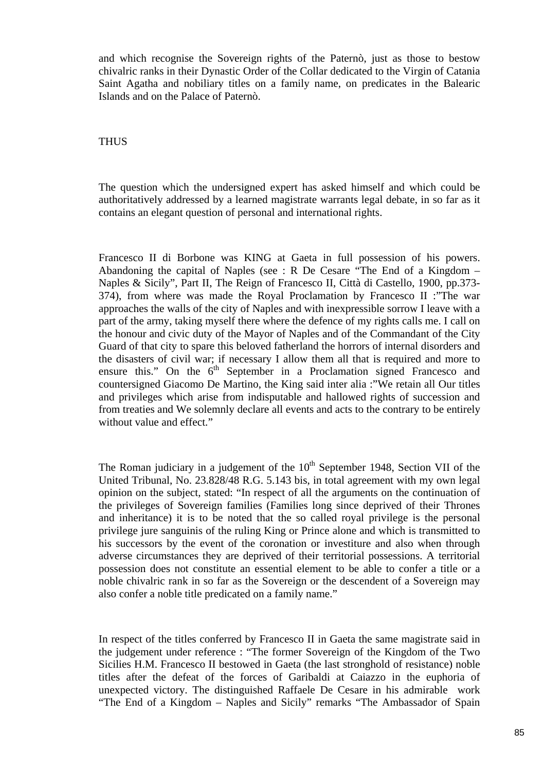and which recognise the Sovereign rights of the Paternò, just as those to bestow chivalric ranks in their Dynastic Order of the Collar dedicated to the Virgin of Catania Saint Agatha and nobiliary titles on a family name, on predicates in the Balearic Islands and on the Palace of Paternò.

# THUS

The question which the undersigned expert has asked himself and which could be authoritatively addressed by a learned magistrate warrants legal debate, in so far as it contains an elegant question of personal and international rights.

Francesco II di Borbone was KING at Gaeta in full possession of his powers. Abandoning the capital of Naples (see : R De Cesare "The End of a Kingdom – Naples & Sicily", Part II, The Reign of Francesco II, Città di Castello, 1900, pp.373- 374), from where was made the Royal Proclamation by Francesco II :"The war approaches the walls of the city of Naples and with inexpressible sorrow I leave with a part of the army, taking myself there where the defence of my rights calls me. I call on the honour and civic duty of the Mayor of Naples and of the Commandant of the City Guard of that city to spare this beloved fatherland the horrors of internal disorders and the disasters of civil war; if necessary I allow them all that is required and more to ensure this." On the  $6<sup>th</sup>$  September in a Proclamation signed Francesco and countersigned Giacomo De Martino, the King said inter alia :"We retain all Our titles and privileges which arise from indisputable and hallowed rights of succession and from treaties and We solemnly declare all events and acts to the contrary to be entirely without value and effect."

The Roman judiciary in a judgement of the  $10<sup>th</sup>$  September 1948, Section VII of the United Tribunal, No. 23.828/48 R.G. 5.143 bis, in total agreement with my own legal opinion on the subject, stated: "In respect of all the arguments on the continuation of the privileges of Sovereign families (Families long since deprived of their Thrones and inheritance) it is to be noted that the so called royal privilege is the personal privilege jure sanguinis of the ruling King or Prince alone and which is transmitted to his successors by the event of the coronation or investiture and also when through adverse circumstances they are deprived of their territorial possessions. A territorial possession does not constitute an essential element to be able to confer a title or a noble chivalric rank in so far as the Sovereign or the descendent of a Sovereign may also confer a noble title predicated on a family name."

In respect of the titles conferred by Francesco II in Gaeta the same magistrate said in the judgement under reference : "The former Sovereign of the Kingdom of the Two Sicilies H.M. Francesco II bestowed in Gaeta (the last stronghold of resistance) noble titles after the defeat of the forces of Garibaldi at Caiazzo in the euphoria of unexpected victory. The distinguished Raffaele De Cesare in his admirable work "The End of a Kingdom – Naples and Sicily" remarks "The Ambassador of Spain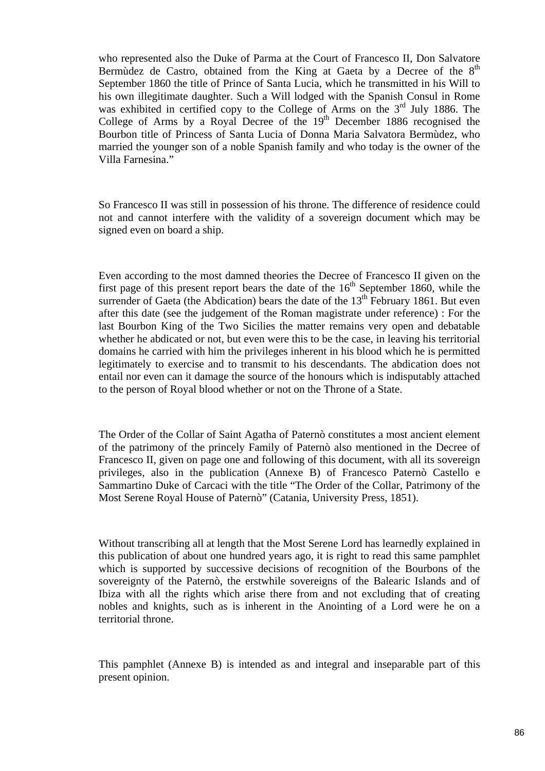who represented also the Duke of Parma at the Court of Francesco II, Don Salvatore Bermùdez de Castro, obtained from the King at Gaeta by a Decree of the  $8<sup>th</sup>$ September 1860 the title of Prince of Santa Lucia, which he transmitted in his Will to his own illegitimate daughter. Such a Will lodged with the Spanish Consul in Rome was exhibited in certified copy to the College of Arms on the  $3<sup>rd</sup>$  July 1886. The College of Arms by a Royal Decree of the  $19<sup>th</sup>$  December 1886 recognised the Bourbon title of Princess of Santa Lucia of Donna Maria Salvatora Bermùdez, who married the younger son of a noble Spanish family and who today is the owner of the Villa Farnesina."

So Francesco II was still in possession of his throne. The difference of residence could not and cannot interfere with the validity of a sovereign document which may be signed even on board a ship.

Even according to the most damned theories the Decree of Francesco II given on the first page of this present report bears the date of the  $16<sup>th</sup>$  September 1860, while the surrender of Gaeta (the Abdication) bears the date of the  $13<sup>th</sup>$  February 1861. But even after this date (see the judgement of the Roman magistrate under reference) : For the last Bourbon King of the Two Sicilies the matter remains very open and debatable whether he abdicated or not, but even were this to be the case, in leaving his territorial domains he carried with him the privileges inherent in his blood which he is permitted legitimately to exercise and to transmit to his descendants. The abdication does not entail nor even can it damage the source of the honours which is indisputably attached to the person of Royal blood whether or not on the Throne of a State.

The Order of the Collar of Saint Agatha of Paternò constitutes a most ancient element of the patrimony of the princely Family of Paternò also mentioned in the Decree of Francesco II, given on page one and following of this document, with all its sovereign privileges, also in the publication (Annexe B) of Francesco Paternò Castello e Sammartino Duke of Carcaci with the title "The Order of the Collar, Patrimony of the Most Serene Royal House of Paternò" (Catania, University Press, 1851).

Without transcribing all at length that the Most Serene Lord has learnedly explained in this publication of about one hundred years ago, it is right to read this same pamphlet which is supported by successive decisions of recognition of the Bourbons of the sovereignty of the Paternò, the erstwhile sovereigns of the Balearic Islands and of Ibiza with all the rights which arise there from and not excluding that of creating nobles and knights, such as is inherent in the Anointing of a Lord were he on a territorial throne.

This pamphlet (Annexe B) is intended as and integral and inseparable part of this present opinion.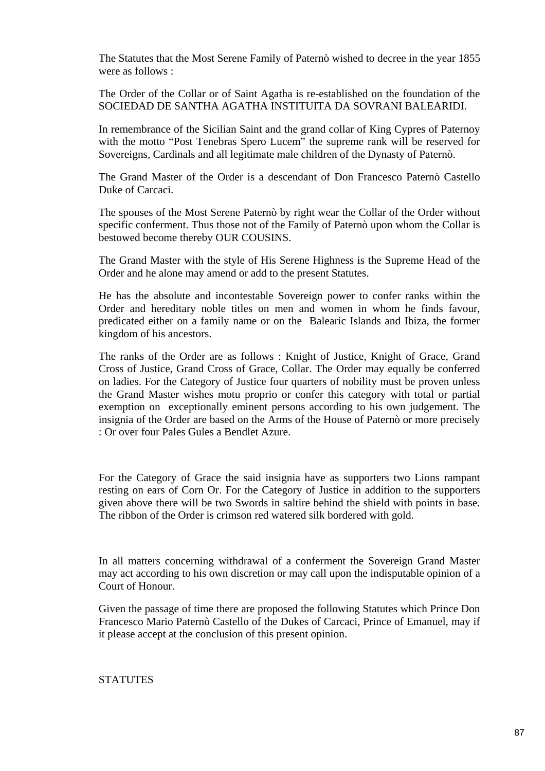The Statutes that the Most Serene Family of Paternò wished to decree in the year 1855 were as follows :

The Order of the Collar or of Saint Agatha is re-established on the foundation of the SOCIEDAD DE SANTHA AGATHA INSTITUITA DA SOVRANI BALEARIDI.

In remembrance of the Sicilian Saint and the grand collar of King Cypres of Paternoy with the motto "Post Tenebras Spero Lucem" the supreme rank will be reserved for Sovereigns, Cardinals and all legitimate male children of the Dynasty of Paternò.

The Grand Master of the Order is a descendant of Don Francesco Paternò Castello Duke of Carcaci.

The spouses of the Most Serene Paternò by right wear the Collar of the Order without specific conferment. Thus those not of the Family of Paternò upon whom the Collar is bestowed become thereby OUR COUSINS.

The Grand Master with the style of His Serene Highness is the Supreme Head of the Order and he alone may amend or add to the present Statutes.

He has the absolute and incontestable Sovereign power to confer ranks within the Order and hereditary noble titles on men and women in whom he finds favour, predicated either on a family name or on the Balearic Islands and Ibiza, the former kingdom of his ancestors.

The ranks of the Order are as follows : Knight of Justice, Knight of Grace, Grand Cross of Justice, Grand Cross of Grace, Collar. The Order may equally be conferred on ladies. For the Category of Justice four quarters of nobility must be proven unless the Grand Master wishes motu proprio or confer this category with total or partial exemption on exceptionally eminent persons according to his own judgement. The insignia of the Order are based on the Arms of the House of Paternò or more precisely : Or over four Pales Gules a Bendlet Azure.

For the Category of Grace the said insignia have as supporters two Lions rampant resting on ears of Corn Or. For the Category of Justice in addition to the supporters given above there will be two Swords in saltire behind the shield with points in base. The ribbon of the Order is crimson red watered silk bordered with gold.

In all matters concerning withdrawal of a conferment the Sovereign Grand Master may act according to his own discretion or may call upon the indisputable opinion of a Court of Honour.

Given the passage of time there are proposed the following Statutes which Prince Don Francesco Mario Paternò Castello of the Dukes of Carcaci, Prince of Emanuel, may if it please accept at the conclusion of this present opinion.

**STATUTES**